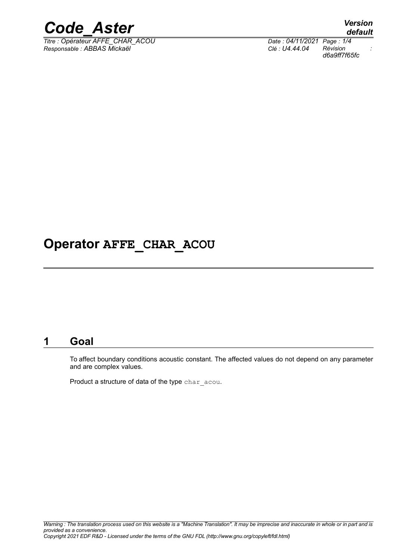

*Titre : Opérateur AFFE\_CHAR\_ACOU Date : 04/11/2021 Page : 1/4 Responsable : ABBAS Mickaël Clé : U4.44.04 Révision :*

*d6a9ff7f65fc*

### **Operator AFFE\_CHAR\_ACOU**

#### **1 Goal**

To affect boundary conditions acoustic constant. The affected values do not depend on any parameter and are complex values.

Product a structure of data of the type char acou.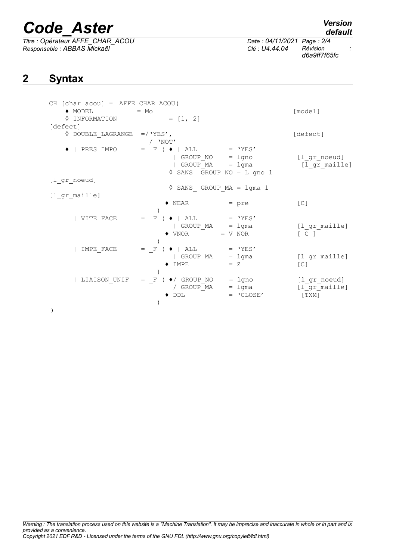# *Code\_Aster Version*

*Titre : Opérateur AFFE\_CHAR\_ACOU Date : 04/11/2021 Page : 2/4 Responsable : ABBAS Mickaël Clé : U4.44.04 Révision :*

)

)

### **2 Syntax**

)

| CH [char_acou] = AFFE_CHAR ACOU(<br>$\blacklozenge$ MODEL<br>♦ INFORMATION | $= MO$<br>$= [1, 2]$          |                                      | [model]           |
|----------------------------------------------------------------------------|-------------------------------|--------------------------------------|-------------------|
| [defect]                                                                   |                               |                                      |                   |
| $\lozenge$ DOUBLE LAGRANGE =/'YES',                                        |                               |                                      | [defect]          |
|                                                                            | $/$ 'NOT'                     |                                      |                   |
| PRES IMPO<br>$\bullet$ $\vdash$                                            | $=$ F ( $\bullet$  <br>ALL    | $= 'YES'$                            |                   |
|                                                                            | GROUP $NO = 1$ gno            |                                      | [l gr noeud]      |
|                                                                            |                               | GROUP $MA = 1$ gma                   | [l_gr_maille]     |
|                                                                            |                               | SANS GROUP NO = L gno 1              |                   |
| $[1$ <sup>or_noeud]</sup>                                                  |                               |                                      |                   |
|                                                                            |                               | $\Diamond$ SANS GROUP MA = $1$ gma 1 |                   |
| [l gr maille]                                                              |                               |                                      |                   |
|                                                                            | $\blacklozenge$ NEAR          | $=$ pre                              | [C]               |
|                                                                            |                               |                                      |                   |
| VITE FACE                                                                  | $=$ F ( $\blacklozenge$   ALL | $=$ 'YES'                            |                   |
|                                                                            | GROUP MA                      | $= 1$ gma                            | [l gr maille]     |
|                                                                            | $\blacklozenge$ VNOR          | $= V NOR$                            | $\lceil C \rceil$ |
|                                                                            |                               |                                      |                   |
| IMPE FACE                                                                  | $=$ F<br>ALL                  | $=$ 'YES'                            |                   |
|                                                                            | GROUP MA                      | $= 1$ gma                            | [l gr maille]     |
|                                                                            | $\blacklozenge$ IMPE          | $= Z$                                | [C]               |

 | LIAISON\_UNIF = \_F ( ♦/ GROUP\_NO = lgno [l\_gr\_noeud] / GROUP\_MA = lgma [l\_gr\_maille]

 $\begin{array}{rcl}\n\bullet / \text{ GROUP}\_ \text{NO} & = \text{ lgno} & [\text{l\_gr}\_ \text{GROUP}\_ \text{MA} & = \text{lgma} & [\text{l\_gr}\_ \text{DDL} & = \text{'CLOSE'} & [\text{TXM}]\n\end{array}$ 

*default*

*d6a9ff7f65fc*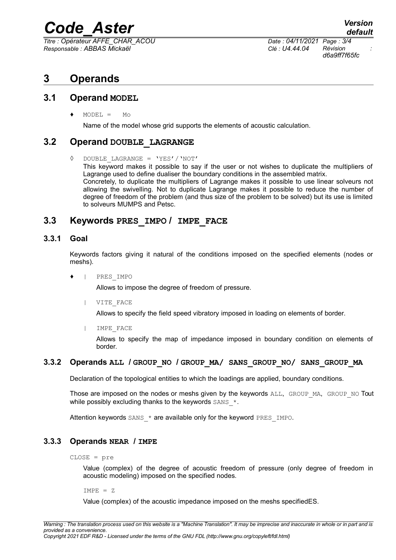### *Code\_Aster Version*

*Titre : Opérateur AFFE\_CHAR\_ACOU Date : 04/11/2021 Page : 3/4 Responsable : ABBAS Mickaël Clé : U4.44.04 Révision :*

*d6a9ff7f65fc*

### **3 Operands**

#### **3.1 Operand MODEL**

 $MODEL = MO$ 

Name of the model whose grid supports the elements of acoustic calculation.

#### **3.2 Operand DOUBLE\_LAGRANGE**

 $DOUBLE$  LAGRANGE = 'YES'/'NOT'

This keyword makes it possible to say if the user or not wishes to duplicate the multipliers of Lagrange used to define dualiser the boundary conditions in the assembled matrix. Concretely, to duplicate the multipliers of Lagrange makes it possible to use linear solveurs not allowing the swivelling. Not to duplicate Lagrange makes it possible to reduce the number of degree of freedom of the problem (and thus size of the problem to be solved) but its use is limited to solveurs MUMPS and Petsc.

#### **3.3 Keywords PRES\_IMPO / IMPE\_FACE**

#### **3.3.1 Goal**

Keywords factors giving it natural of the conditions imposed on the specified elements (nodes or meshs).

| PRES IMPO

Allows to impose the degree of freedom of pressure.

| VITE\_FACE

Allows to specify the field speed vibratory imposed in loading on elements of border.

| IMPE\_FACE

Allows to specify the map of impedance imposed in boundary condition on elements of border.

#### **3.3.2 Operands ALL / GROUP\_NO / GROUP\_MA/ SANS\_GROUP\_NO/ SANS\_GROUP\_MA**

Declaration of the topological entities to which the loadings are applied, boundary conditions.

Those are imposed on the nodes or meshs given by the keywords ALL, GROUP\_MA, GROUP\_NO Tout while possibly excluding thanks to the keywords  $SANS-*$ .

Attention keywords  $SANS*$  are available only for the keyword PRES\_IMPO.

#### **3.3.3 Operands NEAR / IMPE**

CLOSE = pre

Value (complex) of the degree of acoustic freedom of pressure (only degree of freedom in acoustic modeling) imposed on the specified nodes.

 $IMPE = Z$ 

Value (complex) of the acoustic impedance imposed on the meshs specifiedES.